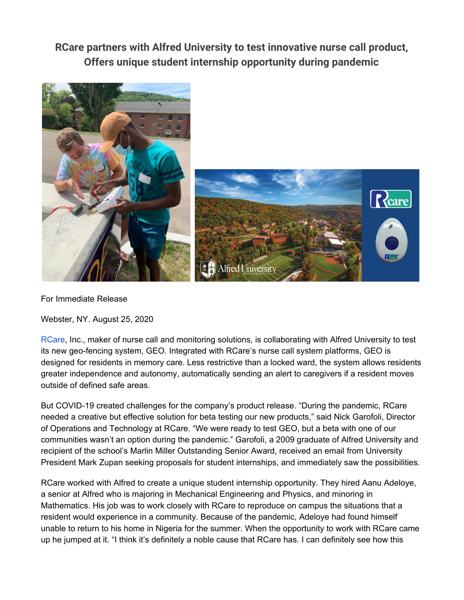**RCare partners with Alfred University to test innovative nurse call product, Offers unique student internship opportunity during pandemic**



For Immediate Release

Webster, NY. August 25, 2020

[RCare,](http://rcareinc.com/) Inc., maker of nurse call and monitoring solutions, is collaborating with Alfred University to test its new geo-fencing system, GEO. Integrated with RCare's nurse call system platforms, GEO is designed for residents in memory care. Less restrictive than a locked ward, the system allows residents greater independence and autonomy, automatically sending an alert to caregivers if a resident moves outside of defined safe areas.

But COVID-19 created challenges for the company's product release. "During the pandemic, RCare needed a creative but effective solution for beta testing our new products," said Nick Garofoli, Director of Operations and Technology at RCare. "We were ready to test GEO, but a beta with one of our communities wasn't an option during the pandemic." Garofoli, a 2009 graduate of Alfred University and recipient of the school's Marlin Miller Outstanding Senior Award, received an email from University President Mark Zupan seeking proposals for student internships, and immediately saw the possibilities.

RCare worked with Alfred to create a unique student internship opportunity. They hired Aanu Adeloye, a senior at Alfred who is majoring in Mechanical Engineering and Physics, and minoring in Mathematics. His job was to work closely with RCare to reproduce on campus the situations that a resident would experience in a community. Because of the pandemic, Adeloye had found himself unable to return to his home in Nigeria for the summer. When the opportunity to work with RCare came up he jumped at it. "I think it's definitely a noble cause that RCare has. I can definitely see how this